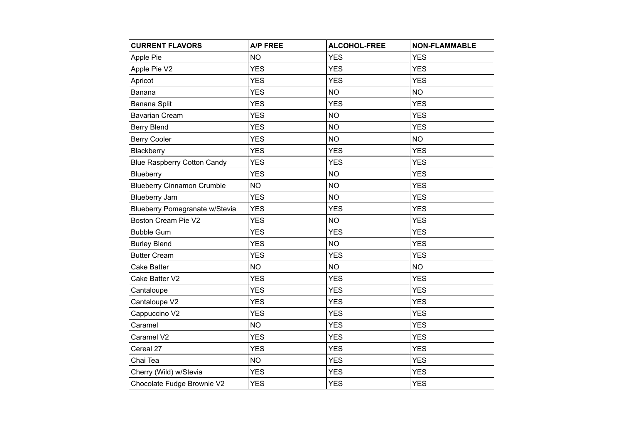| <b>CURRENT FLAVORS</b>             | <b>A/P FREE</b> | <b>ALCOHOL-FREE</b> | <b>NON-FLAMMABLE</b> |
|------------------------------------|-----------------|---------------------|----------------------|
| Apple Pie                          | <b>NO</b>       | <b>YES</b>          | <b>YES</b>           |
| Apple Pie V2                       | <b>YES</b>      | <b>YES</b>          | <b>YES</b>           |
| Apricot                            | <b>YES</b>      | <b>YES</b>          | <b>YES</b>           |
| Banana                             | <b>YES</b>      | <b>NO</b>           | <b>NO</b>            |
| Banana Split                       | <b>YES</b>      | <b>YES</b>          | <b>YES</b>           |
| <b>Bavarian Cream</b>              | <b>YES</b>      | <b>NO</b>           | <b>YES</b>           |
| <b>Berry Blend</b>                 | <b>YES</b>      | <b>NO</b>           | <b>YES</b>           |
| <b>Berry Cooler</b>                | <b>YES</b>      | <b>NO</b>           | <b>NO</b>            |
| Blackberry                         | <b>YES</b>      | <b>YES</b>          | <b>YES</b>           |
| <b>Blue Raspberry Cotton Candy</b> | <b>YES</b>      | <b>YES</b>          | <b>YES</b>           |
| Blueberry                          | <b>YES</b>      | <b>NO</b>           | <b>YES</b>           |
| <b>Blueberry Cinnamon Crumble</b>  | <b>NO</b>       | <b>NO</b>           | <b>YES</b>           |
| <b>Blueberry Jam</b>               | <b>YES</b>      | <b>NO</b>           | <b>YES</b>           |
| Blueberry Pomegranate w/Stevia     | <b>YES</b>      | <b>YES</b>          | <b>YES</b>           |
| Boston Cream Pie V2                | <b>YES</b>      | <b>NO</b>           | <b>YES</b>           |
| <b>Bubble Gum</b>                  | <b>YES</b>      | <b>YES</b>          | <b>YES</b>           |
| <b>Burley Blend</b>                | <b>YES</b>      | <b>NO</b>           | <b>YES</b>           |
| <b>Butter Cream</b>                | <b>YES</b>      | <b>YES</b>          | <b>YES</b>           |
| <b>Cake Batter</b>                 | <b>NO</b>       | <b>NO</b>           | <b>NO</b>            |
| Cake Batter V2                     | <b>YES</b>      | <b>YES</b>          | <b>YES</b>           |
| Cantaloupe                         | <b>YES</b>      | <b>YES</b>          | <b>YES</b>           |
| Cantaloupe V2                      | <b>YES</b>      | <b>YES</b>          | <b>YES</b>           |
| Cappuccino V2                      | <b>YES</b>      | <b>YES</b>          | <b>YES</b>           |
| Caramel                            | <b>NO</b>       | <b>YES</b>          | <b>YES</b>           |
| Caramel V2                         | <b>YES</b>      | <b>YES</b>          | <b>YES</b>           |
| Cereal 27                          | <b>YES</b>      | <b>YES</b>          | <b>YES</b>           |
| Chai Tea                           | <b>NO</b>       | <b>YES</b>          | <b>YES</b>           |
| Cherry (Wild) w/Stevia             | <b>YES</b>      | <b>YES</b>          | <b>YES</b>           |
| Chocolate Fudge Brownie V2         | <b>YES</b>      | <b>YES</b>          | <b>YES</b>           |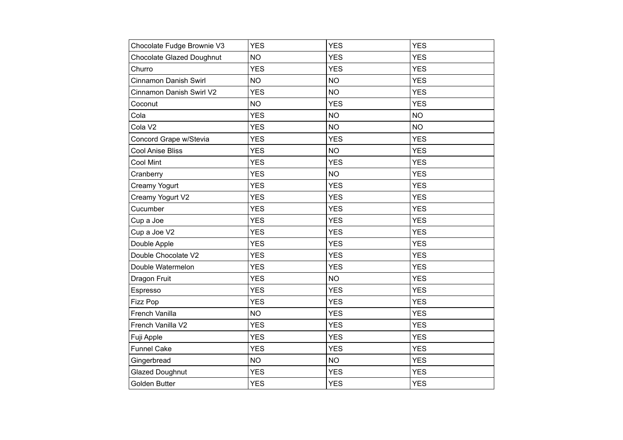| Chocolate Fudge Brownie V3       | <b>YES</b> | <b>YES</b> | <b>YES</b> |
|----------------------------------|------------|------------|------------|
| <b>Chocolate Glazed Doughnut</b> | <b>NO</b>  | <b>YES</b> | <b>YES</b> |
| Churro                           | <b>YES</b> | <b>YES</b> | <b>YES</b> |
| Cinnamon Danish Swirl            | <b>NO</b>  | <b>NO</b>  | <b>YES</b> |
| Cinnamon Danish Swirl V2         | <b>YES</b> | <b>NO</b>  | <b>YES</b> |
| Coconut                          | <b>NO</b>  | <b>YES</b> | <b>YES</b> |
| Cola                             | <b>YES</b> | <b>NO</b>  | <b>NO</b>  |
| Cola V2                          | <b>YES</b> | <b>NO</b>  | <b>NO</b>  |
| Concord Grape w/Stevia           | <b>YES</b> | <b>YES</b> | <b>YES</b> |
| <b>Cool Anise Bliss</b>          | <b>YES</b> | <b>NO</b>  | <b>YES</b> |
| <b>Cool Mint</b>                 | <b>YES</b> | <b>YES</b> | <b>YES</b> |
| Cranberry                        | <b>YES</b> | <b>NO</b>  | <b>YES</b> |
| Creamy Yogurt                    | <b>YES</b> | <b>YES</b> | <b>YES</b> |
| Creamy Yogurt V2                 | <b>YES</b> | <b>YES</b> | <b>YES</b> |
| Cucumber                         | <b>YES</b> | <b>YES</b> | <b>YES</b> |
| Cup a Joe                        | <b>YES</b> | <b>YES</b> | <b>YES</b> |
| Cup a Joe V2                     | <b>YES</b> | <b>YES</b> | <b>YES</b> |
| Double Apple                     | <b>YES</b> | <b>YES</b> | <b>YES</b> |
| Double Chocolate V2              | <b>YES</b> | <b>YES</b> | <b>YES</b> |
| Double Watermelon                | <b>YES</b> | <b>YES</b> | <b>YES</b> |
| Dragon Fruit                     | <b>YES</b> | <b>NO</b>  | <b>YES</b> |
| Espresso                         | <b>YES</b> | <b>YES</b> | <b>YES</b> |
| Fizz Pop                         | <b>YES</b> | <b>YES</b> | <b>YES</b> |
| French Vanilla                   | <b>NO</b>  | <b>YES</b> | <b>YES</b> |
| French Vanilla V2                | <b>YES</b> | <b>YES</b> | <b>YES</b> |
| Fuji Apple                       | <b>YES</b> | <b>YES</b> | <b>YES</b> |
| <b>Funnel Cake</b>               | <b>YES</b> | <b>YES</b> | <b>YES</b> |
| Gingerbread                      | <b>NO</b>  | <b>NO</b>  | <b>YES</b> |
| <b>Glazed Doughnut</b>           | <b>YES</b> | <b>YES</b> | <b>YES</b> |
| Golden Butter                    | <b>YES</b> | <b>YES</b> | <b>YES</b> |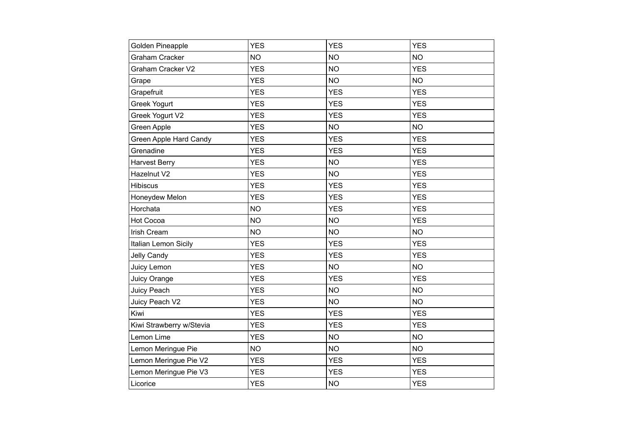| Golden Pineapple         | <b>YES</b> | <b>YES</b> | <b>YES</b> |
|--------------------------|------------|------------|------------|
| <b>Graham Cracker</b>    | <b>NO</b>  | <b>NO</b>  | <b>NO</b>  |
| Graham Cracker V2        | <b>YES</b> | <b>NO</b>  | <b>YES</b> |
| Grape                    | <b>YES</b> | <b>NO</b>  | <b>NO</b>  |
| Grapefruit               | <b>YES</b> | <b>YES</b> | <b>YES</b> |
| Greek Yogurt             | <b>YES</b> | <b>YES</b> | <b>YES</b> |
| Greek Yogurt V2          | <b>YES</b> | <b>YES</b> | <b>YES</b> |
| Green Apple              | <b>YES</b> | <b>NO</b>  | <b>NO</b>  |
| Green Apple Hard Candy   | <b>YES</b> | <b>YES</b> | <b>YES</b> |
| Grenadine                | <b>YES</b> | <b>YES</b> | <b>YES</b> |
| <b>Harvest Berry</b>     | <b>YES</b> | <b>NO</b>  | <b>YES</b> |
| Hazelnut V2              | <b>YES</b> | <b>NO</b>  | <b>YES</b> |
| <b>Hibiscus</b>          | <b>YES</b> | <b>YES</b> | <b>YES</b> |
| Honeydew Melon           | <b>YES</b> | <b>YES</b> | <b>YES</b> |
| Horchata                 | <b>NO</b>  | <b>YES</b> | <b>YES</b> |
| Hot Cocoa                | <b>NO</b>  | <b>NO</b>  | <b>YES</b> |
| Irish Cream              | <b>NO</b>  | <b>NO</b>  | <b>NO</b>  |
| Italian Lemon Sicily     | <b>YES</b> | <b>YES</b> | <b>YES</b> |
| <b>Jelly Candy</b>       | <b>YES</b> | <b>YES</b> | <b>YES</b> |
| Juicy Lemon              | <b>YES</b> | <b>NO</b>  | <b>NO</b>  |
| Juicy Orange             | <b>YES</b> | <b>YES</b> | <b>YES</b> |
| Juicy Peach              | <b>YES</b> | <b>NO</b>  | <b>NO</b>  |
| Juicy Peach V2           | <b>YES</b> | <b>NO</b>  | <b>NO</b>  |
| Kiwi                     | <b>YES</b> | <b>YES</b> | <b>YES</b> |
| Kiwi Strawberry w/Stevia | <b>YES</b> | <b>YES</b> | <b>YES</b> |
| Lemon Lime               | <b>YES</b> | <b>NO</b>  | <b>NO</b>  |
| Lemon Meringue Pie       | <b>NO</b>  | <b>NO</b>  | <b>NO</b>  |
| Lemon Meringue Pie V2    | <b>YES</b> | <b>YES</b> | <b>YES</b> |
| Lemon Meringue Pie V3    | <b>YES</b> | <b>YES</b> | <b>YES</b> |
| Licorice                 | <b>YES</b> | <b>NO</b>  | <b>YES</b> |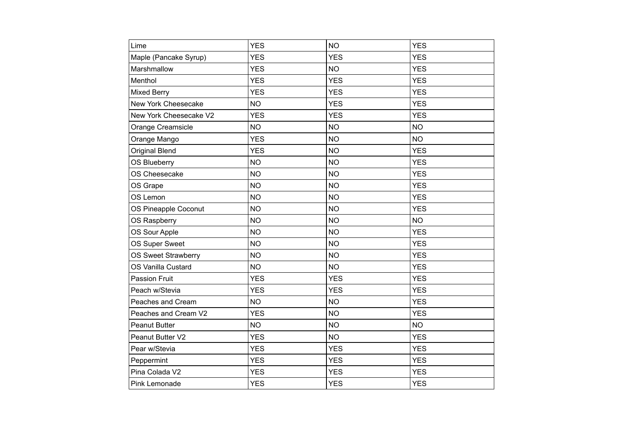| Lime                   | <b>YES</b> | <b>NO</b>  | <b>YES</b> |
|------------------------|------------|------------|------------|
| Maple (Pancake Syrup)  | <b>YES</b> | <b>YES</b> | <b>YES</b> |
| Marshmallow            | <b>YES</b> | <b>NO</b>  | <b>YES</b> |
| Menthol                | <b>YES</b> | <b>YES</b> | <b>YES</b> |
| <b>Mixed Berry</b>     | <b>YES</b> | <b>YES</b> | <b>YES</b> |
| New York Cheesecake    | <b>NO</b>  | <b>YES</b> | <b>YES</b> |
| New York Cheesecake V2 | <b>YES</b> | <b>YES</b> | <b>YES</b> |
| Orange Creamsicle      | <b>NO</b>  | <b>NO</b>  | <b>NO</b>  |
| Orange Mango           | <b>YES</b> | <b>NO</b>  | <b>NO</b>  |
| <b>Original Blend</b>  | <b>YES</b> | <b>NO</b>  | <b>YES</b> |
| <b>OS Blueberry</b>    | <b>NO</b>  | <b>NO</b>  | <b>YES</b> |
| OS Cheesecake          | <b>NO</b>  | <b>NO</b>  | <b>YES</b> |
| OS Grape               | <b>NO</b>  | <b>NO</b>  | <b>YES</b> |
| OS Lemon               | <b>NO</b>  | <b>NO</b>  | <b>YES</b> |
| OS Pineapple Coconut   | <b>NO</b>  | <b>NO</b>  | <b>YES</b> |
| OS Raspberry           | <b>NO</b>  | <b>NO</b>  | <b>NO</b>  |
| OS Sour Apple          | <b>NO</b>  | <b>NO</b>  | <b>YES</b> |
| OS Super Sweet         | <b>NO</b>  | <b>NO</b>  | <b>YES</b> |
| OS Sweet Strawberry    | <b>NO</b>  | <b>NO</b>  | <b>YES</b> |
| OS Vanilla Custard     | <b>NO</b>  | <b>NO</b>  | <b>YES</b> |
| <b>Passion Fruit</b>   | <b>YES</b> | <b>YES</b> | <b>YES</b> |
| Peach w/Stevia         | <b>YES</b> | <b>YES</b> | <b>YES</b> |
| Peaches and Cream      | <b>NO</b>  | <b>NO</b>  | <b>YES</b> |
| Peaches and Cream V2   | <b>YES</b> | <b>NO</b>  | <b>YES</b> |
| <b>Peanut Butter</b>   | <b>NO</b>  | <b>NO</b>  | <b>NO</b>  |
| Peanut Butter V2       | <b>YES</b> | <b>NO</b>  | <b>YES</b> |
| Pear w/Stevia          | <b>YES</b> | <b>YES</b> | <b>YES</b> |
| Peppermint             | <b>YES</b> | <b>YES</b> | <b>YES</b> |
| Pina Colada V2         | <b>YES</b> | <b>YES</b> | <b>YES</b> |
| Pink Lemonade          | <b>YES</b> | <b>YES</b> | <b>YES</b> |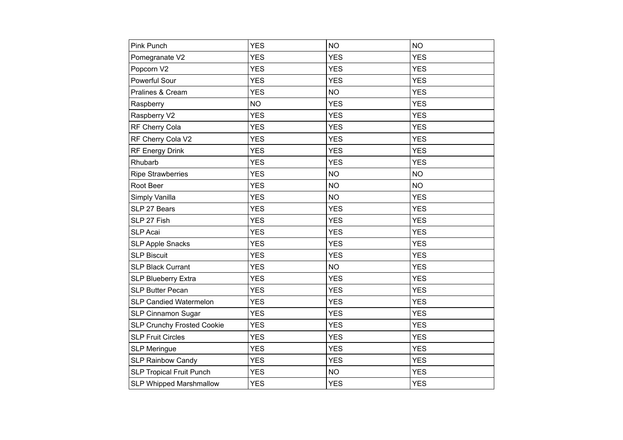| Pink Punch                        | <b>YES</b> | <b>NO</b>  | <b>NO</b>  |
|-----------------------------------|------------|------------|------------|
| Pomegranate V2                    | <b>YES</b> | <b>YES</b> | <b>YES</b> |
| Popcorn V2                        | <b>YES</b> | <b>YES</b> | <b>YES</b> |
| Powerful Sour                     | <b>YES</b> | <b>YES</b> | <b>YES</b> |
| Pralines & Cream                  | <b>YES</b> | <b>NO</b>  | <b>YES</b> |
| Raspberry                         | <b>NO</b>  | <b>YES</b> | <b>YES</b> |
| Raspberry V2                      | <b>YES</b> | <b>YES</b> | <b>YES</b> |
| RF Cherry Cola                    | <b>YES</b> | <b>YES</b> | <b>YES</b> |
| RF Cherry Cola V2                 | <b>YES</b> | <b>YES</b> | <b>YES</b> |
| RF Energy Drink                   | <b>YES</b> | <b>YES</b> | <b>YES</b> |
| Rhubarb                           | <b>YES</b> | <b>YES</b> | <b>YES</b> |
| <b>Ripe Strawberries</b>          | <b>YES</b> | <b>NO</b>  | <b>NO</b>  |
| Root Beer                         | <b>YES</b> | <b>NO</b>  | <b>NO</b>  |
| Simply Vanilla                    | <b>YES</b> | <b>NO</b>  | <b>YES</b> |
| SLP 27 Bears                      | <b>YES</b> | <b>YES</b> | <b>YES</b> |
| SLP 27 Fish                       | <b>YES</b> | <b>YES</b> | <b>YES</b> |
| <b>SLP Acai</b>                   | <b>YES</b> | <b>YES</b> | <b>YES</b> |
| <b>SLP Apple Snacks</b>           | <b>YES</b> | <b>YES</b> | <b>YES</b> |
| <b>SLP Biscuit</b>                | <b>YES</b> | <b>YES</b> | <b>YES</b> |
| <b>SLP Black Currant</b>          | <b>YES</b> | <b>NO</b>  | <b>YES</b> |
| <b>SLP Blueberry Extra</b>        | <b>YES</b> | <b>YES</b> | <b>YES</b> |
| <b>SLP Butter Pecan</b>           | <b>YES</b> | <b>YES</b> | <b>YES</b> |
| <b>SLP Candied Watermelon</b>     | <b>YES</b> | <b>YES</b> | <b>YES</b> |
| SLP Cinnamon Sugar                | <b>YES</b> | <b>YES</b> | <b>YES</b> |
| <b>SLP Crunchy Frosted Cookie</b> | <b>YES</b> | <b>YES</b> | <b>YES</b> |
| <b>SLP Fruit Circles</b>          | <b>YES</b> | <b>YES</b> | <b>YES</b> |
| <b>SLP Meringue</b>               | <b>YES</b> | <b>YES</b> | <b>YES</b> |
| <b>SLP Rainbow Candy</b>          | <b>YES</b> | <b>YES</b> | <b>YES</b> |
| <b>SLP Tropical Fruit Punch</b>   | <b>YES</b> | <b>NO</b>  | <b>YES</b> |
| <b>SLP Whipped Marshmallow</b>    | <b>YES</b> | <b>YES</b> | <b>YES</b> |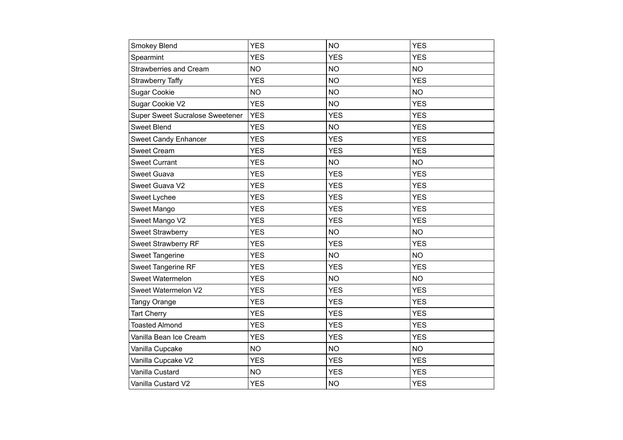| Smokey Blend                    | <b>YES</b> | <b>NO</b>  | <b>YES</b> |
|---------------------------------|------------|------------|------------|
| Spearmint                       | <b>YES</b> | <b>YES</b> | <b>YES</b> |
| Strawberries and Cream          | <b>NO</b>  | <b>NO</b>  | <b>NO</b>  |
| <b>Strawberry Taffy</b>         | <b>YES</b> | <b>NO</b>  | <b>YES</b> |
| <b>Sugar Cookie</b>             | <b>NO</b>  | <b>NO</b>  | <b>NO</b>  |
| Sugar Cookie V2                 | <b>YES</b> | <b>NO</b>  | <b>YES</b> |
| Super Sweet Sucralose Sweetener | <b>YES</b> | <b>YES</b> | <b>YES</b> |
| <b>Sweet Blend</b>              | <b>YES</b> | <b>NO</b>  | <b>YES</b> |
| <b>Sweet Candy Enhancer</b>     | <b>YES</b> | <b>YES</b> | <b>YES</b> |
| <b>Sweet Cream</b>              | <b>YES</b> | <b>YES</b> | <b>YES</b> |
| <b>Sweet Currant</b>            | <b>YES</b> | <b>NO</b>  | <b>NO</b>  |
| <b>Sweet Guava</b>              | <b>YES</b> | <b>YES</b> | <b>YES</b> |
| Sweet Guava V2                  | <b>YES</b> | <b>YES</b> | <b>YES</b> |
| Sweet Lychee                    | <b>YES</b> | <b>YES</b> | <b>YES</b> |
| Sweet Mango                     | <b>YES</b> | <b>YES</b> | <b>YES</b> |
| Sweet Mango V2                  | <b>YES</b> | <b>YES</b> | <b>YES</b> |
| <b>Sweet Strawberry</b>         | <b>YES</b> | <b>NO</b>  | <b>NO</b>  |
| Sweet Strawberry RF             | <b>YES</b> | <b>YES</b> | <b>YES</b> |
| Sweet Tangerine                 | <b>YES</b> | <b>NO</b>  | <b>NO</b>  |
| Sweet Tangerine RF              | <b>YES</b> | <b>YES</b> | <b>YES</b> |
| Sweet Watermelon                | <b>YES</b> | <b>NO</b>  | <b>NO</b>  |
| Sweet Watermelon V2             | <b>YES</b> | <b>YES</b> | <b>YES</b> |
| Tangy Orange                    | <b>YES</b> | <b>YES</b> | <b>YES</b> |
| <b>Tart Cherry</b>              | <b>YES</b> | <b>YES</b> | <b>YES</b> |
| <b>Toasted Almond</b>           | <b>YES</b> | <b>YES</b> | <b>YES</b> |
| Vanilla Bean Ice Cream          | <b>YES</b> | <b>YES</b> | <b>YES</b> |
| Vanilla Cupcake                 | <b>NO</b>  | <b>NO</b>  | <b>NO</b>  |
| Vanilla Cupcake V2              | <b>YES</b> | <b>YES</b> | <b>YES</b> |
| Vanilla Custard                 | <b>NO</b>  | <b>YES</b> | <b>YES</b> |
| Vanilla Custard V2              | <b>YES</b> | <b>NO</b>  | <b>YES</b> |